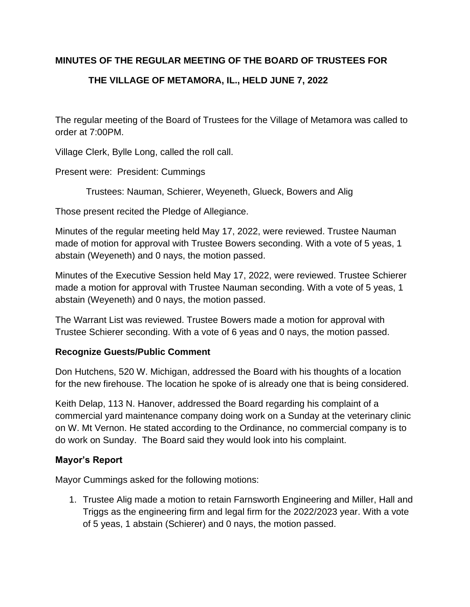# **MINUTES OF THE REGULAR MEETING OF THE BOARD OF TRUSTEES FOR**

# **THE VILLAGE OF METAMORA, IL., HELD JUNE 7, 2022**

The regular meeting of the Board of Trustees for the Village of Metamora was called to order at 7:00PM.

Village Clerk, Bylle Long, called the roll call.

Present were: President: Cummings

Trustees: Nauman, Schierer, Weyeneth, Glueck, Bowers and Alig

Those present recited the Pledge of Allegiance.

Minutes of the regular meeting held May 17, 2022, were reviewed. Trustee Nauman made of motion for approval with Trustee Bowers seconding. With a vote of 5 yeas, 1 abstain (Weyeneth) and 0 nays, the motion passed.

Minutes of the Executive Session held May 17, 2022, were reviewed. Trustee Schierer made a motion for approval with Trustee Nauman seconding. With a vote of 5 yeas, 1 abstain (Weyeneth) and 0 nays, the motion passed.

The Warrant List was reviewed. Trustee Bowers made a motion for approval with Trustee Schierer seconding. With a vote of 6 yeas and 0 nays, the motion passed.

## **Recognize Guests/Public Comment**

Don Hutchens, 520 W. Michigan, addressed the Board with his thoughts of a location for the new firehouse. The location he spoke of is already one that is being considered.

Keith Delap, 113 N. Hanover, addressed the Board regarding his complaint of a commercial yard maintenance company doing work on a Sunday at the veterinary clinic on W. Mt Vernon. He stated according to the Ordinance, no commercial company is to do work on Sunday. The Board said they would look into his complaint.

#### **Mayor's Report**

Mayor Cummings asked for the following motions:

1. Trustee Alig made a motion to retain Farnsworth Engineering and Miller, Hall and Triggs as the engineering firm and legal firm for the 2022/2023 year. With a vote of 5 yeas, 1 abstain (Schierer) and 0 nays, the motion passed.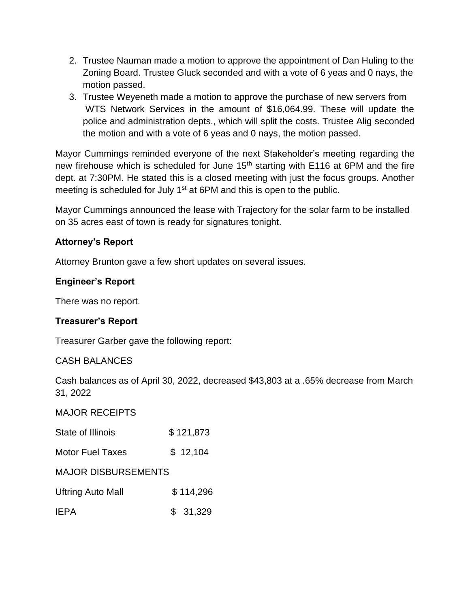- 2. Trustee Nauman made a motion to approve the appointment of Dan Huling to the Zoning Board. Trustee Gluck seconded and with a vote of 6 yeas and 0 nays, the motion passed.
- 3. Trustee Weyeneth made a motion to approve the purchase of new servers from WTS Network Services in the amount of \$16,064.99. These will update the police and administration depts., which will split the costs. Trustee Alig seconded the motion and with a vote of 6 yeas and 0 nays, the motion passed.

Mayor Cummings reminded everyone of the next Stakeholder's meeting regarding the new firehouse which is scheduled for June 15<sup>th</sup> starting with E116 at 6PM and the fire dept. at 7:30PM. He stated this is a closed meeting with just the focus groups. Another meeting is scheduled for July 1<sup>st</sup> at 6PM and this is open to the public.

Mayor Cummings announced the lease with Trajectory for the solar farm to be installed on 35 acres east of town is ready for signatures tonight.

# **Attorney's Report**

Attorney Brunton gave a few short updates on several issues.

# **Engineer's Report**

There was no report.

## **Treasurer's Report**

Treasurer Garber gave the following report:

## CASH BALANCES

Cash balances as of April 30, 2022, decreased \$43,803 at a .65% decrease from March 31, 2022

## MAJOR RECEIPTS

| State of Illinois          | \$121,873 |
|----------------------------|-----------|
| <b>Motor Fuel Taxes</b>    | \$12,104  |
| <b>MAJOR DISBURSEMENTS</b> |           |
| <b>Uftring Auto Mall</b>   | \$114,296 |
| IEPA                       | \$31,329  |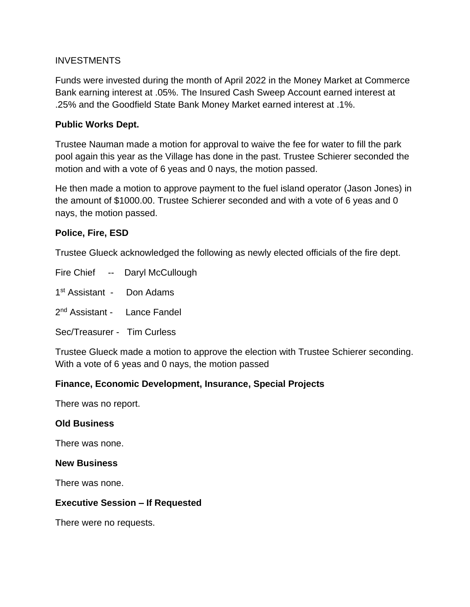#### INVESTMENTS

Funds were invested during the month of April 2022 in the Money Market at Commerce Bank earning interest at .05%. The Insured Cash Sweep Account earned interest at .25% and the Goodfield State Bank Money Market earned interest at .1%.

#### **Public Works Dept.**

Trustee Nauman made a motion for approval to waive the fee for water to fill the park pool again this year as the Village has done in the past. Trustee Schierer seconded the motion and with a vote of 6 yeas and 0 nays, the motion passed.

He then made a motion to approve payment to the fuel island operator (Jason Jones) in the amount of \$1000.00. Trustee Schierer seconded and with a vote of 6 yeas and 0 nays, the motion passed.

#### **Police, Fire, ESD**

Trustee Glueck acknowledged the following as newly elected officials of the fire dept.

Fire Chief -- Daryl McCullough

1<sup>st</sup> Assistant - Don Adams

2<sup>nd</sup> Assistant - Lance Fandel

Sec/Treasurer - Tim Curless

Trustee Glueck made a motion to approve the election with Trustee Schierer seconding. With a vote of 6 yeas and 0 nays, the motion passed

## **Finance, Economic Development, Insurance, Special Projects**

There was no report.

#### **Old Business**

There was none.

#### **New Business**

There was none.

#### **Executive Session – If Requested**

There were no requests.